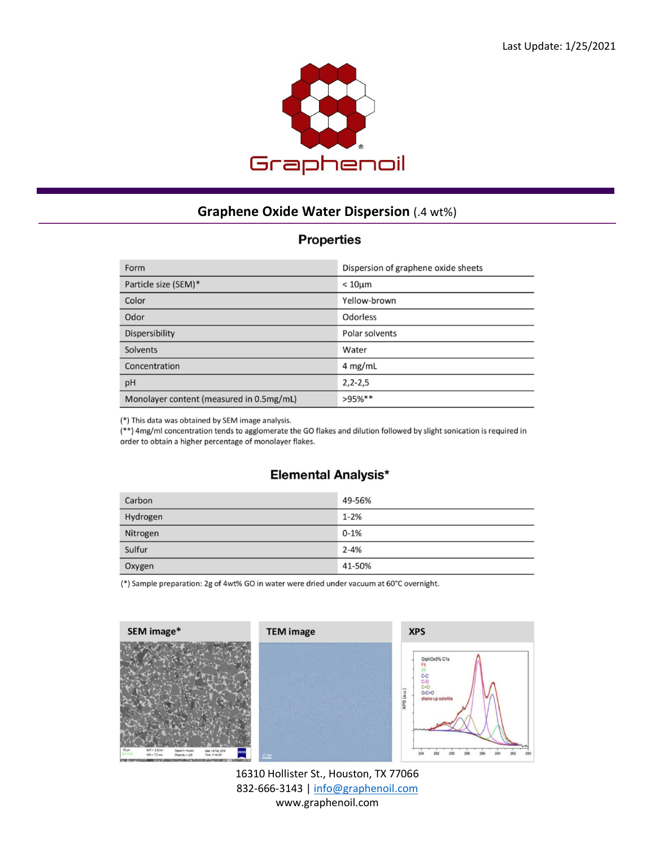

## **Graphene Oxide Water Dispersion** (.4 wt%)

## **Properties**

| Form                                     | Dispersion of graphene oxide sheets |
|------------------------------------------|-------------------------------------|
| Particle size (SEM)*                     | $< 10 \mu m$                        |
| Color                                    | Yellow-brown                        |
| Odor                                     | Odorless                            |
| <b>Dispersibility</b>                    | Polar solvents                      |
| Solvents                                 | Water                               |
| Concentration                            | $4$ mg/mL                           |
| pH                                       | $2, 2 - 2, 5$                       |
| Monolayer content (measured in 0.5mg/mL) | $>95\%**$                           |

(\*) This data was obtained by SEM image analysis.

(\*\*) 4mg/ml concentration tends to agglomerate the GO flakes and dilution followed by slight sonication is required in order to obtain a higher percentage of monolayer flakes.

## **Elemental Analysis\***

| Carbon   | 49-56%   |
|----------|----------|
| Hydrogen | $1 - 2%$ |
| Nitrogen | $0 - 1%$ |
| Sulfur   | $2 - 4%$ |
| Oxygen   | 41-50%   |

(\*) Sample preparation: 2g of 4wt% GO in water were dried under vacuum at 60°C overnight.



16310 Hollister St., Houston, TX 77066 832-666-3143 [| info@graphenoil.com](mailto:info@graphenoil.com) www.graphenoil.com